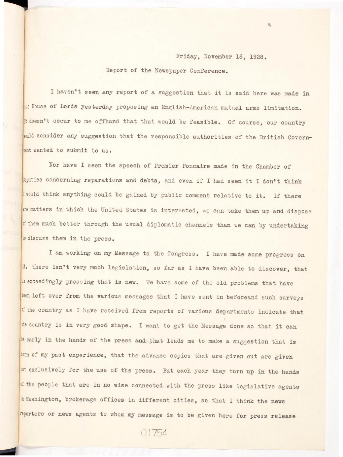## Friday, November 16, 1928.

## Report of the Newspaper Conference.

I haven't seen any report of a suggestion that it is said here was made in the House of Lords yesterday proposing an English-American mutual arms limitation. It doesn't occur to me offhand that that would be feasible. Of course, our country would consider any suggestion that the responsible authorities of the British Government wanted to submit to us.

Nor have I seen the speech of Premier Poncaire made in the Chamber of Deputies concerning reparations and debts, and even if I had seen it I don't think I would think anything could be gained by public comment relative to it. If there are matters in which the United States is interested, we can take them up and dispose of them much better through the usual diplomatic channels than we can by undertaking to discuss them in the press.

I am working on my Message to the Congress. I have made some progress on it. There isn't very much legislation, so far as I have been able to discover, that is exceedingly pressing that is new. We have some of the old problems that have been left over from the various messages that I have sent in beforeand such surveys of the country as I have received from reports of various departments indicate that the country is in very good shape. I want to get the Message done so that it can be early in the hands of the press and that leads me to make a suggestion that is born of my past experience, that the advance copies that are given out are given at exclusively for the use of the press. But each year they turn up in the hands of the people that are in no wise connected with the press like legislative agents in Washington, brokerage offices in different cities, so that I think the news reporters or news agents to whom my message is to be given here for press release

01754